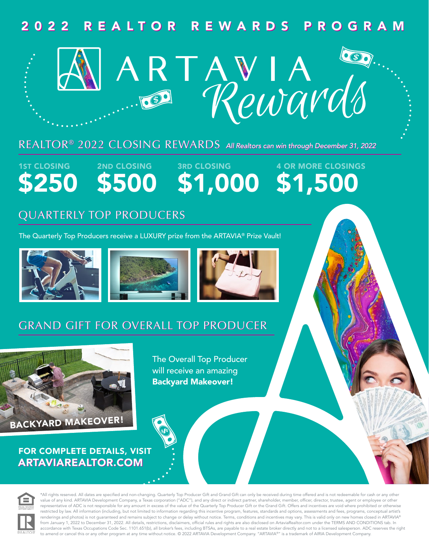# 2022 REALTOR REWARDS PROGRAM 2022 REALTOR REWARDS PROGRAM



### REALTOR® 2022 CLOSING REWARDS *All Realtors can win through December 31, 2022* REALTOR® 2022 CLOSING REWARDS *All Realtors can win through December 31, 2022*

1ST CLOSING \$250

2ND CLOSING \$500

3RD CLOSING \$1,000 4 OR MORE CLOSINGS \$1,500

# QUARTERLY TOP PRODUCERS

The Quarterly Top Producers receive a LUXURY prize from the ARTAVIA® Prize Vault!







# GRAND GIFT FOR OVERALL TOP PRODUCER



FOR COMPLETE DETAILS, VISIT ARTAVIAREALTOR.COM

The Overall Top Producer will receive an amazing Backyard Makeover!



\*All rights reserved. All dates are specified and non-changing. Quarterly Top Producer Gift and Grand Gift can only be received during time offered and is not redeemable for cash or any other value of any kind. ARTAVIA Development Company, a Texas corporation ("ADC"), and any direct or indirect partner, shareholder, member, officer, director, trustee, agent or employee or other representative of ADC is not responsible for any amount in excess of the value of the Quarterly Top Producer Gift or the Grand Gift. Offers and incentives are void where prohibited or otherwise restricted by law. All information (including, but not limited to information regarding this incentive program, features, standards and options, assessments and fees, programs, conceptual artist's renderings and photos) is not guaranteed and remains subject to change or delay without notice. Terms, conditions and incentives may vary. This is valid only on new homes closed in ARTAVIA® from January 1, 2022 to December 31, 2022. All details, restrictions, disclaimers, official rules and rights are also disclosed on ArtaviaRealtor.com under the TERMS AND CONDITIONS tab. In accordance with Texas Occupations Code Sec. 1101.651(b), all broker's fees, including BTSAs, are payable to a real estate broker directly and not to a licensed salesperson. ADC reserves the right to amend or cancel this or any other program at any time without notice. © 2022 ARTAVIA Development Company. "ARTAVIA®" is a trademark of AIRIA Development Company.